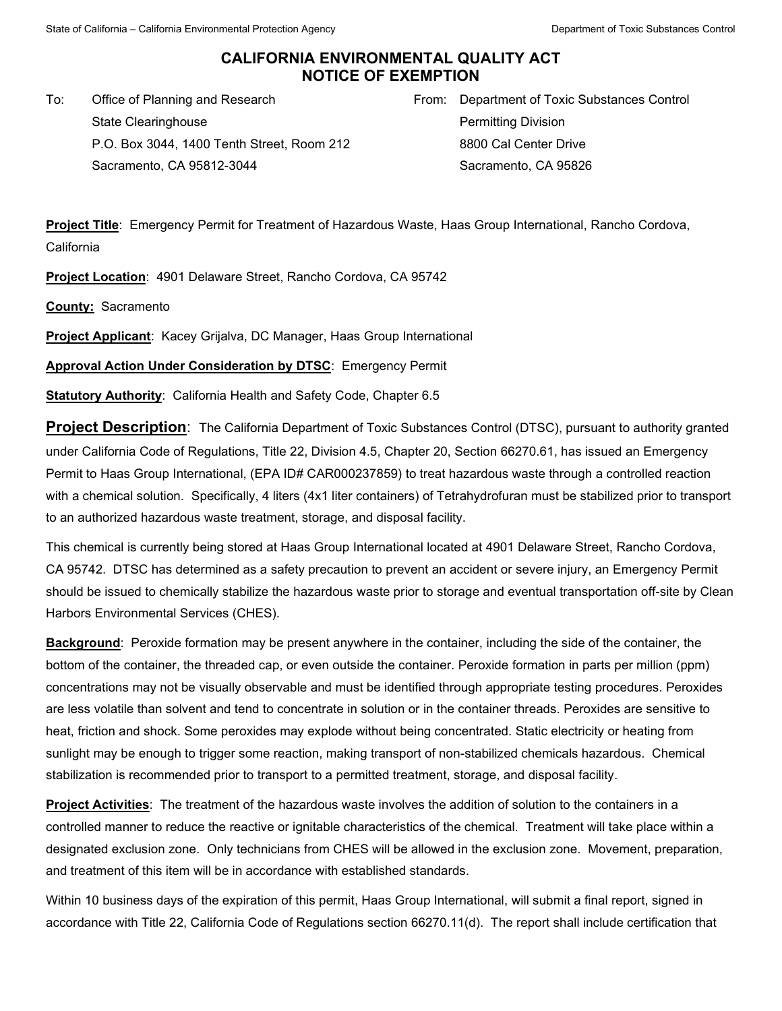## **CALIFORNIA ENVIRONMENTAL QUALITY ACT NOTICE OF EXEMPTION**

To: Office of Planning and Research State Clearinghouse P.O. Box 3044, 1400 Tenth Street, Room 212 Sacramento, CA 95812-3044

From: Department of Toxic Substances Control Permitting Division 8800 Cal Center Drive Sacramento, CA 95826

**Project Title**: Emergency Permit for Treatment of Hazardous Waste, Haas Group International, Rancho Cordova, California

**Project Location**: 4901 Delaware Street, Rancho Cordova, CA 95742

**County:** Sacramento

**Project Applicant**: Kacey Grijalva, DC Manager, Haas Group International

**Approval Action Under Consideration by DTSC**: Emergency Permit

**Statutory Authority**: California Health and Safety Code, Chapter 6.5

**Project Description**: The California Department of Toxic Substances Control (DTSC), pursuant to authority granted under California Code of Regulations, Title 22, Division 4.5, Chapter 20, Section 66270.61, has issued an Emergency Permit to Haas Group International, (EPA ID# CAR000237859) to treat hazardous waste through a controlled reaction with a chemical solution. Specifically, 4 liters (4x1 liter containers) of Tetrahydrofuran must be stabilized prior to transport to an authorized hazardous waste treatment, storage, and disposal facility.

This chemical is currently being stored at Haas Group International located at 4901 Delaware Street, Rancho Cordova, CA 95742. DTSC has determined as a safety precaution to prevent an accident or severe injury, an Emergency Permit should be issued to chemically stabilize the hazardous waste prior to storage and eventual transportation off-site by Clean Harbors Environmental Services (CHES).

**Background**: Peroxide formation may be present anywhere in the container, including the side of the container, the bottom of the container, the threaded cap, or even outside the container. Peroxide formation in parts per million (ppm) concentrations may not be visually observable and must be identified through appropriate testing procedures. Peroxides are less volatile than solvent and tend to concentrate in solution or in the container threads. Peroxides are sensitive to heat, friction and shock. Some peroxides may explode without being concentrated. Static electricity or heating from sunlight may be enough to trigger some reaction, making transport of non-stabilized chemicals hazardous. Chemical stabilization is recommended prior to transport to a permitted treatment, storage, and disposal facility.

**Project Activities**: The treatment of the hazardous waste involves the addition of solution to the containers in a controlled manner to reduce the reactive or ignitable characteristics of the chemical. Treatment will take place within a designated exclusion zone. Only technicians from CHES will be allowed in the exclusion zone. Movement, preparation, and treatment of this item will be in accordance with established standards.

Within 10 business days of the expiration of this permit, Haas Group International, will submit a final report, signed in accordance with Title 22, California Code of Regulations section 66270.11(d). The report shall include certification that